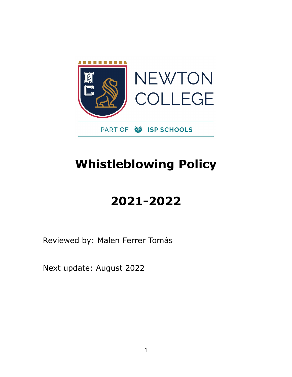

# **Whistleblowing Policy**

# **2021-2022**

Reviewed by: Malen Ferrer Tomás

Next update: August 2022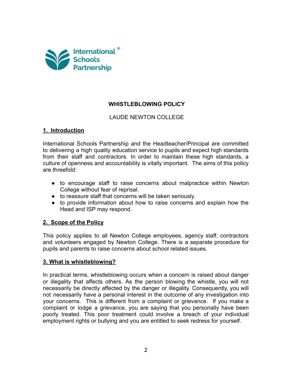

# **WHISTLEBLOWING POLICY**

## LAUDE NEWTON COLLEGE

#### **1. Introduction**

International Schools Partnership and the Headteacher/Principal are committed to delivering a high quality education service to pupils and expect high standards from their staff and contractors. In order to maintain these high standards, a culture of openness and accountability is vitally important. The aims of this policy are threefold:

- to encourage staff to raise concerns about malpractice within Newton College without fear of reprisal.
- to reassure staff that concerns will be taken seriously.
- to provide information about how to raise concerns and explain how the Head and ISP may respond.

## **2. Scope of the Policy**

This policy applies to all Newton College employees, agency staff, contractors and volunteers engaged by Newton College. There is a separate procedure for pupils and parents to raise concerns about school related issues.

#### **3. What is whistleblowing?**

In practical terms, whistleblowing occurs when a concern is raised about danger or illegality that affects others. As the person blowing the whistle, you will not necessarily be directly affected by the danger or illegality. Consequently, you will not necessarily have a personal interest in the outcome of any investigation into your concerns. This is different from a complaint or grievance. If you make a complaint or lodge a grievance, you are saying that you personally have been poorly treated. This poor treatment could involve a breach of your individual employment rights or bullying and you are entitled to seek redress for yourself.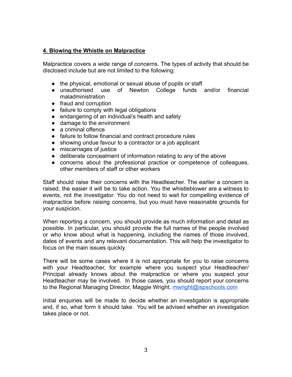#### **4. Blowing the Whistle on Malpractice**

Malpractice covers a wide range of concerns. The types of activity that should be disclosed include but are not limited to the following:

- the physical, emotional or sexual abuse of pupils or staff
- unauthorised use of Newton College funds and/or financial maladministration
- fraud and corruption
- failure to comply with legal obligations
- endangering of an individual's health and safety
- damage to the environment
- a criminal offence
- failure to follow financial and contract procedure rules
- showing undue favour to a contractor or a job applicant
- miscarriages of justice
- deliberate concealment of information relating to any of the above
- concerns about the professional practice or competence of colleagues, other members of staff or other workers

Staff should raise their concerns with the Headteacher. The earlier a concern is raised, the easier it will be to take action. You the whistleblower are a witness to events, not the investigator. You do not need to wait for compelling evidence of malpractice before raising concerns, but you must have reasonable grounds for your suspicion.

When reporting a concern, you should provide as much information and detail as possible. In particular, you should provide the full names of the people involved or who know about what is happening, including the names of those involved, dates of events and any relevant documentation. This will help the investigator to focus on the main issues quickly.

There will be some cases where it is not appropriate for you to raise concerns with your Headteacher, for example where you suspect your Headteacher/ Principal already knows about the malpractice or where you suspect your Headteacher may be involved. In those cases, you should report your concerns to the Regional Managing Director, Maggie Wright, *[mwright@ispschools.com](mailto:m.wright@ispschools.com)* 

Initial enquiries will be made to decide whether an investigation is appropriate and, if so, what form it should take. You will be advised whether an investigation takes place or not.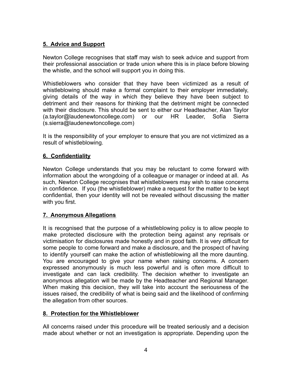## **5. Advice and Support**

Newton College recognises that staff may wish to seek advice and support from their professional association or trade union where this is in place before blowing the whistle, and the school will support you in doing this.

Whistleblowers who consider that they have been victimized as a result of whistleblowing should make a formal complaint to their employer immediately, giving details of the way in which they believe they have been subject to detriment and their reasons for thinking that the detriment might be connected with their disclosure. This should be sent to either our Headteacher, Alan Taylor (a.taylor@laudenewtoncollege.com) or our HR Leader, Sofía Sierra (s.sierra@laudenewtoncollege.com)

It is the responsibility of your employer to ensure that you are not victimized as a result of whistleblowing.

## **6. Confidentiality**

Newton College understands that you may be reluctant to come forward with information about the wrongdoing of a colleague or manager or indeed at all. As such, Newton College recognises that whistleblowers may wish to raise concerns in confidence. If you (the whistleblower) make a request for the matter to be kept confidential, then your identity will not be revealed without discussing the matter with you first.

## **7. Anonymous Allegations**

It is recognised that the purpose of a whistleblowing policy is to allow people to make protected disclosure with the protection being against any reprisals or victimisation for disclosures made honestly and in good faith. It is very difficult for some people to come forward and make a disclosure, and the prospect of having to identify yourself can make the action of whistleblowing all the more daunting. You are encouraged to give your name when raising concerns. A concern expressed anonymously is much less powerful and is often more difficult to investigate and can lack credibility. The decision whether to investigate an anonymous allegation will be made by the Headteacher and Regional Manager. When making this decision, they will take into account the seriousness of the issues raised, the credibility of what is being said and the likelihood of confirming the allegation from other sources.

## **8. Protection for the Whistleblower**

All concerns raised under this procedure will be treated seriously and a decision made about whether or not an investigation is appropriate. Depending upon the